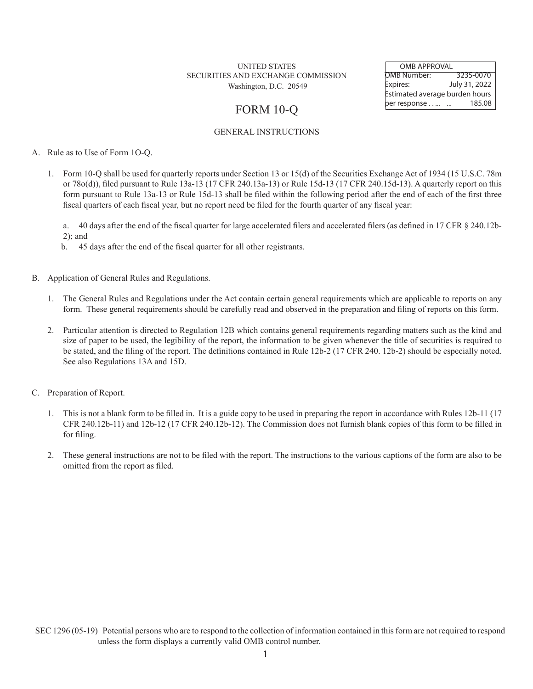UNITED STATES SECURITIES AND EXCHANGE COMMISSION Washington, D.C. 20549

#### OMB APPROVAL OMB Number: 3235-0070 Expires: July 31, 2022 Estimated average burden hours per response . . ... ... 185.08

# FORM 10-Q

## GENERAL INSTRUCTIONS

A. Rule as to Use of Form 1O-Q.

1. Form 10-Q shall be used for quarterly reports under Section 13 or 15(d) of the Securities Exchange Act of 1934 (15 U.S.C. 78m or 78o(d)), filed pursuant to Rule 13a-13 (17 CFR 240.13a-13) or Rule 15d-13 (17 CFR 240.15d-13). A quarterly report on this form pursuant to Rule 13a-13 or Rule 15d-13 shall be filed within the following period after the end of each of the first three fiscal quarters of each fiscal year, but no report need be filed for the fourth quarter of any fiscal year:

a. 40 days after the end of the fiscal quarter for large accelerated filers and accelerated filers (as defined in 17 CFR § 240.12b-2); and

b. 45 days after the end of the fiscal quarter for all other registrants.

- B. Application of General Rules and Regulations.
	- 1. The General Rules and Regulations under the Act contain certain general requirements which are applicable to reports on any form. These general requirements should be carefully read and observed in the preparation and filing of reports on this form.
	- 2. Particular attention is directed to Regulation 12B which contains general requirements regarding matters such as the kind and size of paper to be used, the legibility of the report, the information to be given whenever the title of securities is required to be stated, and the filing of the report. The definitions contained in Rule 12b-2 (17 CFR 240. 12b-2) should be especially noted. See also Regulations 13A and 15D.
- C. Preparation of Report.
	- 1. This is not a blank form to be filled in. It is a guide copy to be used in preparing the report in accordance with Rules 12b -11 (17 CFR 240.12b-11) and 12b-12 (17 CFR 240.12b-12). The Commission does not furnish blank copies of this form to be filled in for filing.
	- 2. These general instructions are not to be filed with the report. The instructions to the various captions of the form are also to be omitted from the report as filed.

SEC 1296 (05-19) Potential persons who are to respond to the collection of information contained in this form are not required to respond unless the form displays a currently valid OMB control number.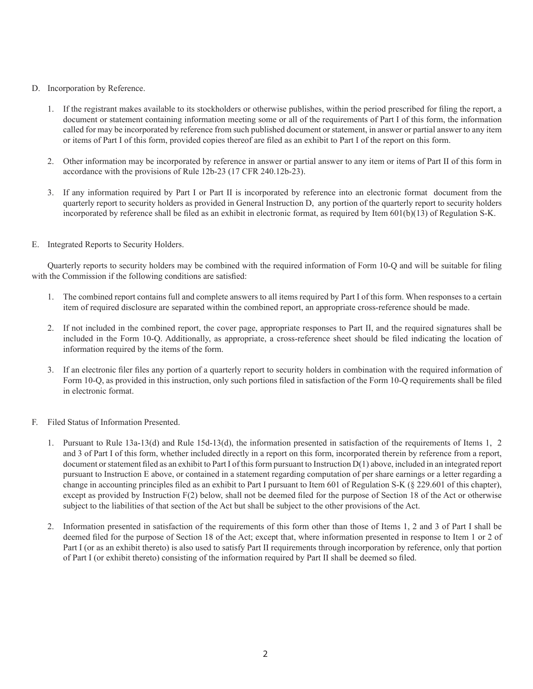## D. Incorporation by Reference.

- 1. If the registrant makes available to its stockholders or otherwise publishes, within the period prescribed for filing the report, a document or statement containing information meeting some or all of the requirements of Part I of this form, the information called for may be incorporated by reference from such published document or statement, in answer or partial answer to any item or items of Part I of this form, provided copies thereof are filed as an exhibit to Part I of the report on this form.
- 2. Other information may be incorporated by reference in answer or partial answer to any item or items of Part II of this form in accordance with the provisions of Rule 12b-23 (17 CFR 240.12b-23).
- 3. If any information required by Part I or Part II is incorporated by reference into an electronic format document from the quarterly report to security holders as provided in General Instruction D, any portion of the quarterly report to security holders incorporated by reference shall be filed as an exhibit in electronic format, as required by Item 601(b)(13) of Regulation S-K.
- E. Integrated Reports to Security Holders.

Quarterly reports to security holders may be combined with the required information of Form 10-Q and will be suitable for filing with the Commission if the following conditions are satisfied:

- 1. The combined report contains full and complete answers to all items required by Part I of this form. When responses to a certain item of required disclosure are separated within the combined report, an appropriate cross-reference should be made.
- 2. If not included in the combined report, the cover page, appropriate responses to Part II, and the required signatures shall be included in the Form 10-Q. Additionally, as appropriate, a cross-reference sheet should be filed indicating the location of information required by the items of the form.
- 3. If an electronic filer files any portion of a quarterly report to security holders in combination with the required information of Form 10-Q, as provided in this instruction, only such portions filed in satisfaction of the Form 10-Q requirements shall be filed in electronic format.
- F. Filed Status of Information Presented.
	- 1. Pursuant to Rule 13a-13(d) and Rule 15d-13(d), the information presented in satisfaction of the requirements of Items 1, 2 and 3 of Part I of this form, whether included directly in a report on this form, incorporated therein by reference from a report, document or statement filed as an exhibit to Part I of this form pursuant to Instruction D(1) above, included in an integrated report pursuant to Instruction E above, or contained in a statement regarding computation of per share earnings or a letter regarding a change in accounting principles filed as an exhibit to Part I pursuant to Item 601 of Regulation S-K (§ 229.601 of this chapter), except as provided by Instruction F(2) below, shall not be deemed filed for the purpose of Section 18 of the Act or otherwise subject to the liabilities of that section of the Act but shall be subject to the other provisions of the Act.
	- 2. Information presented in satisfaction of the requirements of this form other than those of Items 1, 2 and 3 of Part I shall be deemed filed for the purpose of Section 18 of the Act; except that, where information presented in response to Item 1 or 2 of Part I (or as an exhibit thereto) is also used to satisfy Part II requirements through incorporation by reference, only that portion of Part I (or exhibit thereto) consisting of the information required by Part II shall be deemed so filed.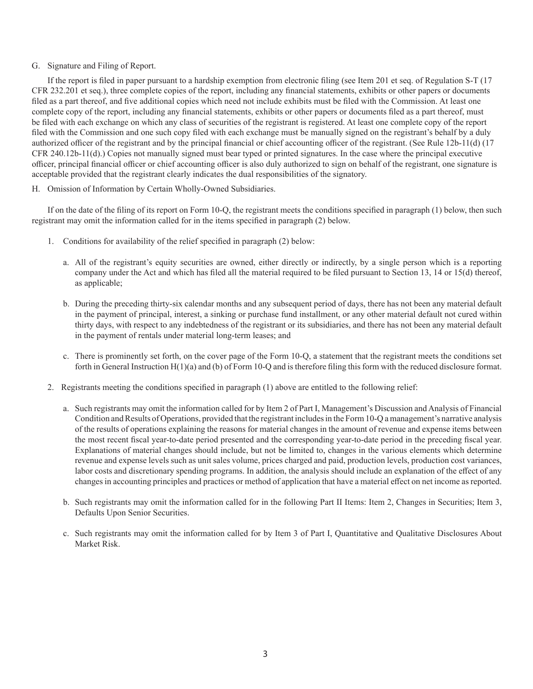### G. Signature and Filing of Report.

 authorized officer of the registrant and by the principal financial or chief accounting officer of the registrant. (See Rule 12b-11(d) (17 officer, principal financial officer or chief accounting officer is also duly authorized to sign on behalf of the registrant, one signature is If the report is filed in paper pursuant to a hardship exemption from electronic filing (see Item 201 et seq. of Regulation S-T (17 CFR 232.201 et seq.), three complete copies of the report, including any financial statements, exhibits or other papers or documents filed as a part thereof, and five additional copies which need not include exhibits must be filed with the Commission. At least one complete copy of the report, including any financial statements, exhibits or other papers or documents filed as a part thereof, must be filed with each exchange on which any class of securities of the registrant is registered. At least one complete copy of the report filed with the Commission and one such copy filed with each exchange must be manually signed on the registrant's behalf by a duly CFR 240.12b-11(d).) Copies not manually signed must bear typed or printed signatures. In the case where the principal executive acceptable provided that the registrant clearly indicates the dual responsibilities of the signatory.

H. Omission of Information by Certain Wholly-Owned Subsidiaries.

If on the date of the filing of its report on Form 10-Q, the registrant meets the conditions specified in paragraph (1) below, then such registrant may omit the information called for in the items specified in paragraph (2) below.

- 1. Conditions for availability of the relief specified in paragraph (2) below:
	- a. All of the registrant's equity securities are owned, either directly or indirectly, by a single person which is a reporting company under the Act and which has filed all the material required to be filed pursuant to Section 13, 14 or 15(d) thereof, as applicable;
	- b. During the preceding thirty-six calendar months and any subsequent period of days, there has not been any material default in the payment of principal, interest, a sinking or purchase fund installment, or any other material default not cured within thirty days, with respect to any indebtedness of the registrant or its subsidiaries, and there has not been any material default in the payment of rentals under material long-term leases; and
	- c. There is prominently set forth, on the cover page of the Form 10-Q, a statement that the registrant meets the conditions set forth in General Instruction H(1)(a) and (b) of Form 10-Q and is therefore filing this form with the reduced disclosure format.
- 2. Registrants meeting the conditions specified in paragraph (1) above are entitled to the following relief:
	- a. Such registrants may omit the information called for by Item 2 of Part I, Management's Discussion and Analysis of Financial Condition and Results of Operations, provided that the registrant includes in the Form 10-Q a management's narrative analysis of the results of operations explaining the reasons for material changes in the amount of revenue and expense items between the most recent fiscal year-to-date period presented and the corresponding year-to-date period in the preceding fiscal year. Explanations of material changes should include, but not be limited to, changes in the various elements which determine revenue and expense levels such as unit sales volume, prices charged and paid, production levels, production cost variances, labor costs and discretionary spending programs. In addition, the analysis should include an explanation of the effect of any changes in accounting principles and practices or method of application that have a material effect on net income as reported.
	- b. Such registrants may omit the information called for in the following Part II Items: Item 2, Changes in Securities; Item 3, Defaults Upon Senior Securities.
	- c. Such registrants may omit the information called for by Item 3 of Part I, Quantitative and Qualitative Disclosures About Market Risk.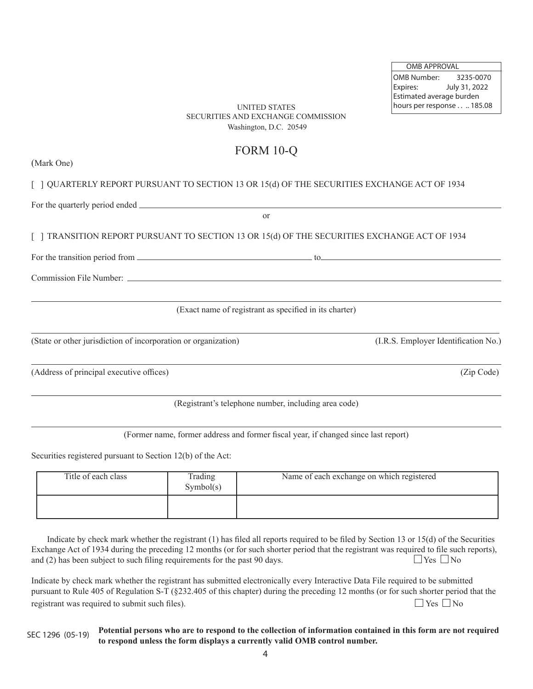OMB APPROVAL OMB Number: 3235-0070 Expires: July 31, 2022 Estimated average burden

## UNITED STATES hours per response . . . 185.08 SECURITIES AND EXCHANGE COMMISSION Washington, D.C. 20549

# FORM 10-Q

(Mark One)

# [ ] QUARTERLY REPORT PURSUANT TO SECTION 13 OR 15(d) OF THE SECURITIES EXCHANGE ACT OF 1934 For the quarterly period ended or [ ] TRANSITION REPORT PURSUANT TO SECTION 13 OR 15(d) OF THE SECURITIES EXCHANGE ACT OF 1934 For the transition period from to Commission File Number: (Exact name of registrant as specified in its charter) (State or other jurisdiction of incorporation or organization) (I.R.S. Employer Identification No.) (Address of principal executive offices) (Zip Code) (Registrant's telephone number, including area code) (Former name, former address and former fiscal year, if changed since last report) Securities registered pursuant to Section 12(b) of the Act: г Title of each class Trading Name of each exchange on which registered ┑

| THE OF CALIFULASS | Traumy<br>Symbol(s) | Traine of each exchange on which registered |
|-------------------|---------------------|---------------------------------------------|
|                   |                     |                                             |
|                   |                     |                                             |

Indicate by check mark whether the registrant (1) has filed all reports required to be filed by Section 13 or 15(d) of the Securities Exchange Act of 1934 during the preceding 12 months (or for such shorter period that the registrant was required to file such reports), and (2) has been subject to such filing requirements for the past 90 days.  $\Box$  Yes  $\Box$  No

registrant was required to submit such files).  $\Box$  Yes  $\Box$  No Indicate by check mark whether the registrant has submitted electronically every Interactive Data File required to be submitted pursuant to Rule 405 of Regulation S-T (§232.405 of this chapter) during the preceding 12 months (or for such shorter period that the

# FREC 1296 (05-19) Potential persons who are to respond to the collection of information contained in this form are not required to respond unless the form displays a currently valid OMB control number.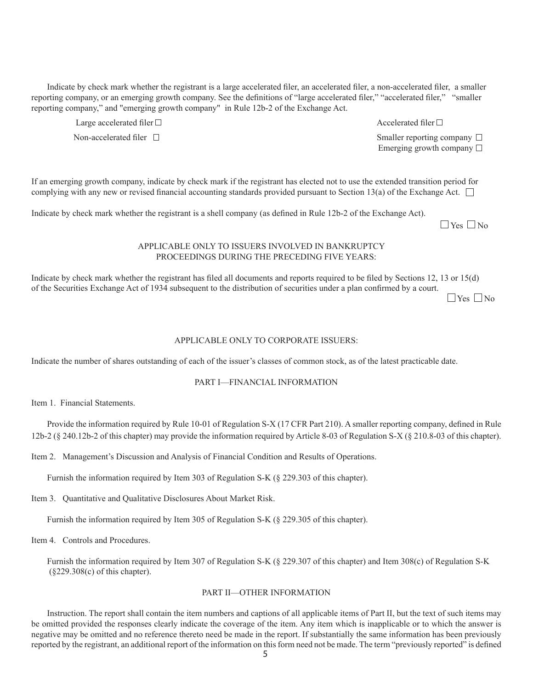Indicate by check mark whether the registrant is a large accelerated filer, an accelerated filer, a non-accelerated filer, a smaller reporting company, or an emerging growth company. See the definitions of "large accelerated filer," "accelerated filer," "smaller reporting company," and "emerging growth company" in Rule 12b-2 of the Exchange Act.

Large accelerated filer  $\Box$ 

Non-accelerated filer □

If an emerging growth company, indicate by check mark if the registrant has elected not to use the extended transition period for complying with any new or revised financial accounting standards provided pursuant to Section 13(a) of the Exchange Act.

Indicate by check mark whether the registrant is a shell company (as defined in Rule 12b-2 of the Exchange Act).

## APPLICABLE ONLY TO ISSUERS INVOLVED IN BANKRUPTCY PROCEEDINGS DURING THE PRECEDING FIVE YEARS:

Indicate by check mark whether the registrant has filed all documents and reports required to be filed by Sections 12, 13 or 15(d) of the Securities Exchange Act of 1934 subsequent to the distribution of securities under a plan confirmed by a court.

 $\Box$  Yes  $\Box$  No

## APPLICABLE ONLY TO CORPORATE ISSUERS:

Indicate the number of shares outstanding of each of the issuer's classes of common stock, as of the latest practicable date.

## PART I—FINANCIAL INFORMATION

Item 1. Financial Statements.

Provide the information required by Rule 10-01 of Regulation S-X (17 CFR Part 210). A smaller reporting company, defined in Rule 12b-2 (§ 240.12b-2 of this chapter) may provide the information required by Article 8-03 of Regulation S-X (§ 210.8-03 of this chapter).

Item 2. Management's Discussion and Analysis of Financial Condition and Results of Operations.

Furnish the information required by Item 303 of Regulation S-K (§ 229.303 of this chapter).

Item 3. Quantitative and Qualitative Disclosures About Market Risk.

Furnish the information required by Item 305 of Regulation S-K (§ 229.305 of this chapter).

Item 4. Controls and Procedures.

Furnish the information required by Item 307 of Regulation S-K (§ 229.307 of this chapter) and Item 308(c) of Regulation S-K (§229.308(c) of this chapter).

## PART II—OTHER INFORMATION

Instruction. The report shall contain the item numbers and captions of all applicable items of Part II, but the text of such items may be omitted provided the responses clearly indicate the coverage of the item. Any item which is inapplicable or to which the answer is negative may be omitted and no reference thereto need be made in the report. If substantially the same information has been previously reported by the registrant, an additional report of the information on this form need not be made. The term "previously reported" is defined

Smaller reporting company  $\Box$ Emerging growth company  $\square$ 

 $\Box$  Yes  $\Box$  No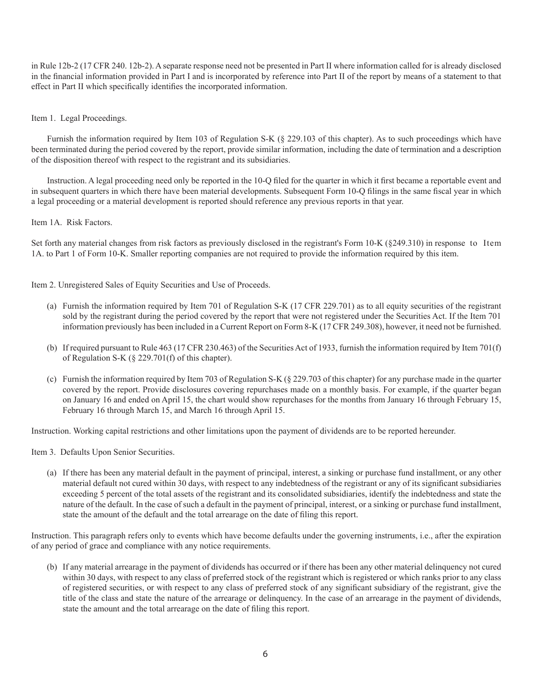in Rule 12b-2 (17 CFR 240. 12b-2). A separate response need not be presented in Part II where information called for is already disclosed in the financial information provided in Part I and is incorporated by reference into Part II of the report by means of a statement to that effect in Part II which specifically identifies the incorporated information.

## Item 1. Legal Proceedings.

Furnish the information required by Item 103 of Regulation S-K (§ 229.103 of this chapter). As to such proceedings which have been terminated during the period covered by the report, provide similar information, including the date of termination and a description of the disposition thereof with respect to the registrant and its subsidiaries.

Instruction. A legal proceeding need only be reported in the 10-Q filed for the quarter in which it first became a reportable event and in subsequent quarters in which there have been material developments. Subsequent Form 10-Q filings in the same fiscal year in which a legal proceeding or a material development is reported should reference any previous reports in that year.

### Item 1A. Risk Factors.

Set forth any material changes from risk factors as previously disclosed in the registrant's Form 10-K (§249.310) in response to Item 1A. to Part 1 of Form 10-K. Smaller reporting companies are not required to provide the information required by this item.

Item 2. Unregistered Sales of Equity Securities and Use of Proceeds.

- (a) Furnish the information required by Item 701 of Regulation S-K (17 CFR 229.701) as to all equity securities of the registrant sold by the registrant during the period covered by the report that were not registered under the Securities Act. If the Item 701 information previously has been included in a Current Report on Form 8-K (17 CFR 249.308), however, it need not be furnished.
- (b) If required pursuant to Rule 463 (17 CFR 230.463) of the Securities Act of 1933, furnish the information required by Item 701(f) of Regulation S-K (§ 229.701(f) of this chapter).
- (c) Furnish the information required by Item 703 of Regulation S-K (§ 229.703 of this chapter) for any purchase made in the quarter covered by the report. Provide disclosures covering repurchases made on a monthly basis. For example, if the quarter began on January 16 and ended on April 15, the chart would show repurchases for the months from January 16 through February 15, February 16 through March 15, and March 16 through April 15.

Instruction. Working capital restrictions and other limitations upon the payment of dividends are to be reported hereunder.

Item 3. Defaults Upon Senior Securities.

(a) If there has been any material default in the payment of principal, interest, a sinking or purchase fund installment, or any other material default not cured within 30 days, with respect to any indebtedness of the registrant or any of its significant subsidiaries exceeding 5 percent of the total assets of the registrant and its consolidated subsidiaries, identify the indebtedness and state the nature of the default. In the case of such a default in the payment of principal, interest, or a sinking or purchase fund installment, state the amount of the default and the total arrearage on the date of filing this report.

Instruction. This paragraph refers only to events which have become defaults under the governing instruments, i.e., after the expiration of any period of grace and compliance with any notice requirements.

(b) If any material arrearage in the payment of dividends has occurred or if there has been any other material delinquency not cured within 30 days, with respect to any class of preferred stock of the registrant which is registered or which ranks prior to any class of registered securities, or with respect to any class of preferred stock of any significant subsidiary of the registrant, give the title of the class and state the nature of the arrearage or delinquency. In the case of an arrearage in the payment of dividends, state the amount and the total arrearage on the date of filing this report.